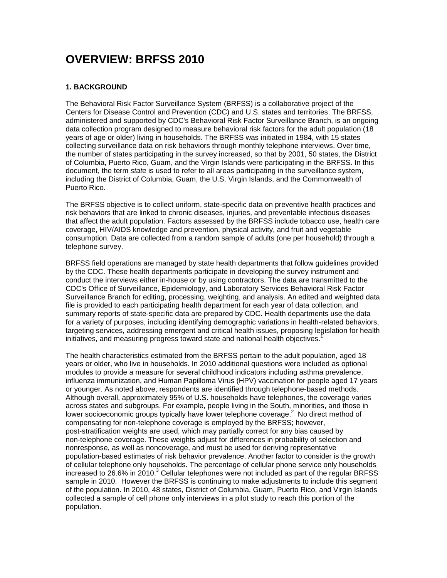# **OVERVIEW: BRFSS 2010**

# **1. BACKGROUND**

The Behavioral Risk Factor Surveillance System (BRFSS) is a collaborative project of the Centers for Disease Control and Prevention (CDC) and U.S. states and territories. The BRFSS, administered and supported by CDC's Behavioral Risk Factor Surveillance Branch, is an ongoing data collection program designed to measure behavioral risk factors for the adult population (18 years of age or older) living in households. The BRFSS was initiated in 1984, with 15 states collecting surveillance data on risk behaviors through monthly telephone interviews. Over time, the number of states participating in the survey increased, so that by 2001, 50 states, the District of Columbia, Puerto Rico, Guam, and the Virgin Islands were participating in the BRFSS. In this document, the term *state* is used to refer to all areas participating in the surveillance system, including the District of Columbia, Guam, the U.S. Virgin Islands, and the Commonwealth of Puerto Rico.

The BRFSS objective is to collect uniform, state-specific data on preventive health practices and risk behaviors that are linked to chronic diseases, injuries, and preventable infectious diseases that affect the adult population. Factors assessed by the BRFSS include tobacco use, health care coverage, HIV/AIDS knowledge and prevention, physical activity, and fruit and vegetable consumption. Data are collected from a random sample of adults (one per household) through a telephone survey.

BRFSS field operations are managed by state health departments that follow guidelines provided by the CDC. These health departments participate in developing the survey instrument and conduct the interviews either in-house or by using contractors. The data are transmitted to the CDC's Office of Surveillance, Epidemiology, and Laboratory Services Behavioral Risk Factor Surveillance Branch for editing, processing, weighting, and analysis. An edited and weighted data file is provided to each participating health department for each year of data collection, and summary reports of state-specific data are prepared by CDC. Health departments use the data for a variety of purposes, including identifying demographic variations in health-related behaviors, targeting services, addressing emergent and critical health issues, proposing legislation for health initiatives, and measuring progress toward state and national health objectives.<sup>1</sup>

The health characteristics estimated from the BRFSS pertain to the adult population, aged 18 years or older, who live in households. In 2010 additional questions were included as optional modules to provide a measure for several childhood indicators including asthma prevalence, influenza immunization, and Human Papilloma Virus (HPV) vaccination for people aged 17 years or younger. As noted above, respondents are identified through telephone-based methods. Although overall, approximately 95% of U.S. households have telephones, the coverage varies across states and subgroups. For example, people living in the South, minorities, and those in lower socioeconomic groups typically have lower telephone coverage.<sup>2</sup> No direct method of compensating for non-telephone coverage is employed by the BRFSS; however, post-stratification weights are used, which may partially correct for any bias caused by non-telephone coverage. These weights adjust for differences in probability of selection and nonresponse, as well as noncoverage, and must be used for deriving representative population-based estimates of risk behavior prevalence. Another factor to consider is the growth of cellular telephone only households. The percentage of cellular phone service only households increased to 26.6% in 2010. $3$  Cellular telephones were not included as part of the regular BRFSS sample in 2010. However the BRFSS is continuing to make adjustments to include this segment of the population. In 2010, 48 states, District of Columbia, Guam, Puerto Rico, and Virgin Islands collected a sample of cell phone only interviews in a pilot study to reach this portion of the population.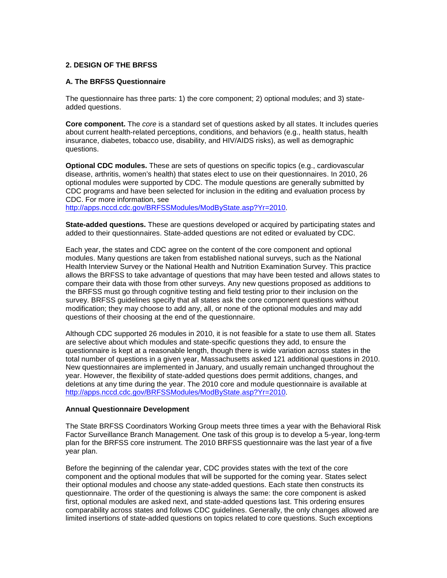## **2. DESIGN OF THE BRFSS**

#### **A. The BRFSS Questionnaire**

The questionnaire has three parts: 1) the core component; 2) optional modules; and 3) stateadded questions.

**Core component.** The *core* is a standard set of questions asked by all states. It includes queries about current health-related perceptions, conditions, and behaviors (e.g., health status, health insurance, diabetes, tobacco use, disability, and HIV/AIDS risks), as well as demographic questions.

**Optional CDC modules.** These are sets of questions on specific topics (e.g., cardiovascular disease, arthritis, women's health) that states elect to use on their questionnaires. In 2010, 26 optional modules were supported by CDC. The module questions are generally submitted by CDC programs and have been selected for inclusion in the editing and evaluation process by CDC. For more information, see

[http://apps.nccd.cdc.gov/BRFSSModules/ModByState.asp?Yr=2010](http://apps.nccd.cdc.gov/BRFSSModules/ModByCat.asp?Yr=2010).

**State-added questions.** These are questions developed or acquired by participating states and added to their questionnaires. State-added questions are not edited or evaluated by CDC.

Each year, the states and CDC agree on the content of the core component and optional modules. Many questions are taken from established national surveys, such as the National Health Interview Survey or the National Health and Nutrition Examination Survey. This practice allows the BRFSS to take advantage of questions that may have been tested and allows states to compare their data with those from other surveys. Any new questions proposed as additions to the BRFSS must go through cognitive testing and field testing prior to their inclusion on the survey. BRFSS guidelines specify that all states ask the core component questions without modification; they may choose to add any, all, or none of the optional modules and may add questions of their choosing at the end of the questionnaire.

Although CDC supported 26 modules in 2010, it is not feasible for a state to use them all. States are selective about which modules and state-specific questions they add, to ensure the questionnaire is kept at a reasonable length, though there is wide variation across states in the total number of questions in a given year, Massachusetts asked 121 additional questions in 2010. New questionnaires are implemented in January, and usually remain unchanged throughout the year. However, the flexibility of state-added questions does permit additions, changes, and deletions at any time during the year. The 2010 core and module questionnaire is available at <http://apps.nccd.cdc.gov/BRFSSModules/ModByState.asp?Yr=2010>.

#### **Annual Questionnaire Development**

The State BRFSS Coordinators Working Group meets three times a year with the Behavioral Risk Factor Surveillance Branch Management. One task of this group is to develop a 5-year, long-term plan for the BRFSS core instrument. The 2010 BRFSS questionnaire was the last year of a five year plan.

Before the beginning of the calendar year, CDC provides states with the text of the core component and the optional modules that will be supported for the coming year. States select their optional modules and choose any state-added questions. Each state then constructs its questionnaire. The order of the questioning is always the same: the core component is asked first, optional modules are asked next, and state-added questions last. This ordering ensures comparability across states and follows CDC guidelines. Generally, the only changes allowed are limited insertions of state-added questions on topics related to core questions. Such exceptions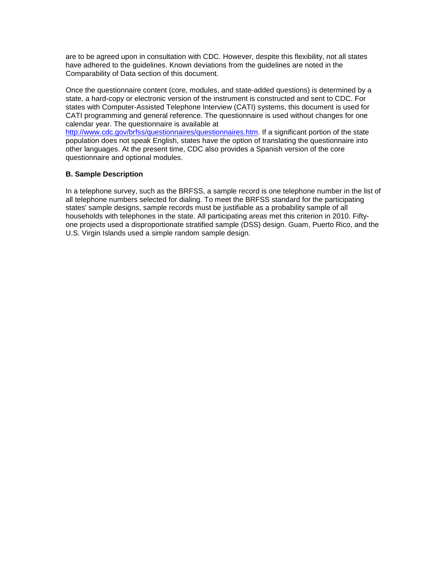are to be agreed upon in consultation with CDC. However, despite this flexibility, not all states have adhered to the guidelines. Known deviations from the guidelines are noted in the Comparability of Data section of this document.

Once the questionnaire content (core, modules, and state-added questions) is determined by a state, a hard-copy or electronic version of the instrument is constructed and sent to CDC. For states with Computer-Assisted Telephone Interview (CATI) systems, this document is used for CATI programming and general reference. The questionnaire is used without changes for one calendar year. The questionnaire is available at

[http://www.cdc.gov/brfss/questionnaires/questionnaires.htm.](http://www.cdc.gov/brfss/questionnaires/questionnaires.htm) If a significant portion of the state population does not speak English, states have the option of translating the questionnaire into other languages. At the present time, CDC also provides a Spanish version of the core questionnaire and optional modules.

## **B. Sample Description**

In a telephone survey, such as the BRFSS, a sample record is one telephone number in the list of all telephone numbers selected for dialing. To meet the BRFSS standard for the participating states' sample designs, sample records must be justifiable as a probability sample of all households with telephones in the state. All participating areas met this criterion in 2010. Fiftyone projects used a disproportionate stratified sample (DSS) design. Guam, Puerto Rico, and the U.S. Virgin Islands used a simple random sample design.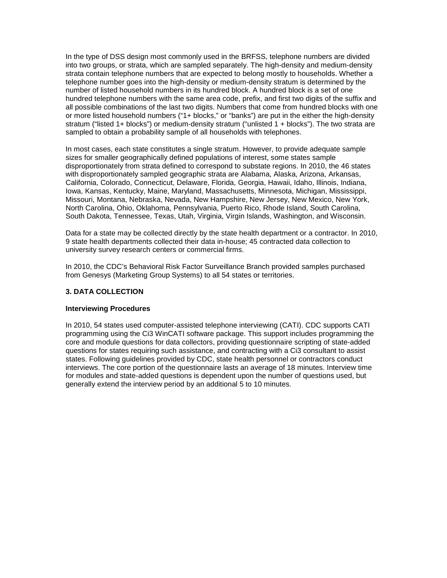In the type of DSS design most commonly used in the BRFSS, telephone numbers are divided into two groups, or strata, which are sampled separately. The high-density and medium-density strata contain telephone numbers that are expected to belong mostly to households. Whether a telephone number goes into the high-density or medium-density stratum is determined by the number of listed household numbers in its hundred block. A hundred block is a set of one hundred telephone numbers with the same area code, prefix, and first two digits of the suffix and all possible combinations of the last two digits. Numbers that come from hundred blocks with one or more listed household numbers ("1+ blocks," or "banks") are put in the either the high-density stratum ("listed 1+ blocks") or medium-density stratum ("unlisted 1 + blocks"). The two strata are sampled to obtain a probability sample of all households with telephones.

In most cases, each state constitutes a single stratum. However, to provide adequate sample sizes for smaller geographically defined populations of interest, some states sample disproportionately from strata defined to correspond to substate regions. In 2010, the 46 states with disproportionately sampled geographic strata are Alabama, Alaska, Arizona, Arkansas, California, Colorado, Connecticut, Delaware, Florida, Georgia, Hawaii, Idaho, Illinois, Indiana, Iowa, Kansas, Kentucky, Maine, Maryland, Massachusetts, Minnesota, Michigan, Mississippi, Missouri, Montana, Nebraska, Nevada, New Hampshire, New Jersey, New Mexico, New York, North Carolina, Ohio, Oklahoma, Pennsylvania, Puerto Rico, Rhode Island, South Carolina, South Dakota, Tennessee, Texas, Utah, Virginia, Virgin Islands, Washington, and Wisconsin.

Data for a state may be collected directly by the state health department or a contractor. In 2010, 9 state health departments collected their data in-house; 45 contracted data collection to university survey research centers or commercial firms.

In 2010, the CDC's Behavioral Risk Factor Surveillance Branch provided samples purchased from Genesys (Marketing Group Systems) to all 54 states or territories.

#### **3. DATA COLLECTION**

#### **Interviewing Procedures**

In 2010, 54 states used computer-assisted telephone interviewing (CATI). CDC supports CATI programming using the Ci3 WinCATI software package. This support includes programming the core and module questions for data collectors, providing questionnaire scripting of state-added questions for states requiring such assistance, and contracting with a Ci3 consultant to assist states. Following guidelines provided by CDC, state health personnel or contractors conduct interviews. The core portion of the questionnaire lasts an average of 18 minutes. Interview time for modules and state-added questions is dependent upon the number of questions used, but generally extend the interview period by an additional 5 to 10 minutes.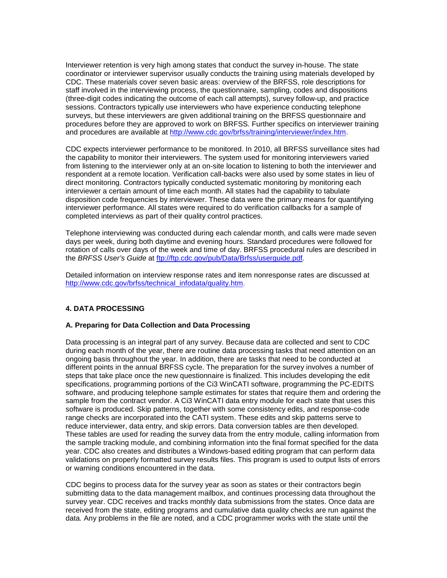Interviewer retention is very high among states that conduct the survey in-house. The state coordinator or interviewer supervisor usually conducts the training using materials developed by CDC. These materials cover seven basic areas: overview of the BRFSS, role descriptions for staff involved in the interviewing process, the questionnaire, sampling, codes and dispositions (three-digit codes indicating the outcome of each call attempts), survey follow-up, and practice sessions. Contractors typically use interviewers who have experience conducting telephone surveys, but these interviewers are given additional training on the BRFSS questionnaire and procedures before they are approved to work on BRFSS. Further specifics on interviewer training and procedures are available at [http://www.cdc.gov/brfss/training/interviewer/index.htm.](http://www.cdc.gov/brfss/training/interviewer/index.htm)

CDC expects interviewer performance to be monitored. In 2010, all BRFSS surveillance sites had the capability to monitor their interviewers. The system used for monitoring interviewers varied from listening to the interviewer only at an on-site location to listening to both the interviewer and respondent at a remote location. Verification call-backs were also used by some states in lieu of direct monitoring. Contractors typically conducted systematic monitoring by monitoring each interviewer a certain amount of time each month. All states had the capability to tabulate disposition code frequencies by interviewer. These data were the primary means for quantifying interviewer performance. All states were required to do verification callbacks for a sample of completed interviews as part of their quality control practices.

Telephone interviewing was conducted during each calendar month, and calls were made seven days per week, during both daytime and evening hours. Standard procedures were followed for rotation of calls over days of the week and time of day. BRFSS procedural rules are described in the *BRFSS User's Guide* at <ftp://ftp.cdc.gov/pub/Data/Brfss/userguide.pdf>*.* 

Detailed information on interview response rates and item nonresponse rates are discussed at [http://www.cdc.gov/brfss/technical\\_infodata/quality.htm.](http://www.cdc.gov/brfss/technical_infodata/quality.htm)

#### **4. DATA PROCESSING**

#### **A. Preparing for Data Collection and Data Processing**

Data processing is an integral part of any survey. Because data are collected and sent to CDC during each month of the year, there are routine data processing tasks that need attention on an ongoing basis throughout the year. In addition, there are tasks that need to be conducted at different points in the annual BRFSS cycle. The preparation for the survey involves a number of steps that take place once the new questionnaire is finalized. This includes developing the edit specifications, programming portions of the Ci3 WinCATI software, programming the PC-EDITS software, and producing telephone sample estimates for states that require them and ordering the sample from the contract vendor. A Ci3 WinCATI data entry module for each state that uses this software is produced. Skip patterns, together with some consistency edits, and response-code range checks are incorporated into the CATI system. These edits and skip patterns serve to reduce interviewer, data entry, and skip errors. Data conversion tables are then developed. These tables are used for reading the survey data from the entry module, calling information from the sample tracking module, and combining information into the final format specified for the data year. CDC also creates and distributes a Windows-based editing program that can perform data validations on properly formatted survey results files. This program is used to output lists of errors or warning conditions encountered in the data.

CDC begins to process data for the survey year as soon as states or their contractors begin submitting data to the data management mailbox, and continues processing data throughout the survey year. CDC receives and tracks monthly data submissions from the states. Once data are received from the state, editing programs and cumulative data quality checks are run against the data. Any problems in the file are noted, and a CDC programmer works with the state until the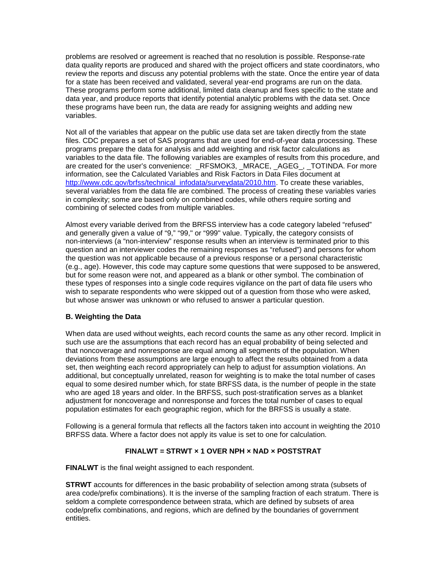problems are resolved or agreement is reached that no resolution is possible. Response-rate data quality reports are produced and shared with the project officers and state coordinators, who review the reports and discuss any potential problems with the state. Once the entire year of data for a state has been received and validated, several year-end programs are run on the data. These programs perform some additional, limited data cleanup and fixes specific to the state and data year, and produce reports that identify potential analytic problems with the data set. Once these programs have been run, the data are ready for assigning weights and adding new variables.

Not all of the variables that appear on the public use data set are taken directly from the state files. CDC prepares a set of SAS programs that are used for end-of-year data processing. These programs prepare the data for analysis and add weighting and risk factor calculations as variables to the data file. The following variables are examples of results from this procedure, and are created for the user's convenience: \_RFSMOK3, \_MRACE, \_AGEG\_, \_TOTINDA. For more information, see the Calculated Variables and Risk Factors in Data Files document at [http://www.cdc.gov/brfss/technical\\_infodata/surveydata/2010.htm.](http://www.cdc.gov/brfss/technical_infodata/surveydata/2003.htm) To create these variables, several variables from the data file are combined. The process of creating these variables varies in complexity; some are based only on combined codes, while others require sorting and combining of selected codes from multiple variables.

Almost every variable derived from the BRFSS interview has a code category labeled "refused" and generally given a value of "9," "99," or "999" value. Typically, the category consists of non-interviews (a "non-interview" response results when an interview is terminated prior to this question and an interviewer codes the remaining responses as "refused") and persons for whom the question was not applicable because of a previous response or a personal characteristic (e.g., age). However, this code may capture some questions that were supposed to be answered, but for some reason were not, and appeared as a blank or other symbol. The combination of these types of responses into a single code requires vigilance on the part of data file users who wish to separate respondents who were skipped out of a question from those who were asked, but whose answer was unknown or who refused to answer a particular question.

#### **B. Weighting the Data**

When data are used without weights, each record counts the same as any other record. Implicit in such use are the assumptions that each record has an equal probability of being selected and that noncoverage and nonresponse are equal among all segments of the population. When deviations from these assumptions are large enough to affect the results obtained from a data set, then weighting each record appropriately can help to adjust for assumption violations. An additional, but conceptually unrelated, reason for weighting is to make the total number of cases equal to some desired number which, for state BRFSS data, is the number of people in the state who are aged 18 years and older. In the BRFSS, such post-stratification serves as a blanket adjustment for noncoverage and nonresponse and forces the total number of cases to equal population estimates for each geographic region, which for the BRFSS is usually a state.

Following is a general formula that reflects all the factors taken into account in weighting the 2010 BRFSS data. Where a factor does not apply its value is set to one for calculation.

# **FINALWT = STRWT × 1 OVER NPH × NAD × POSTSTRAT**

**FINALWT** is the final weight assigned to each respondent.

**STRWT** accounts for differences in the basic probability of selection among strata (subsets of area code/prefix combinations). It is the inverse of the sampling fraction of each stratum. There is seldom a complete correspondence between strata, which are defined by subsets of area code/prefix combinations, and regions, which are defined by the boundaries of government entities.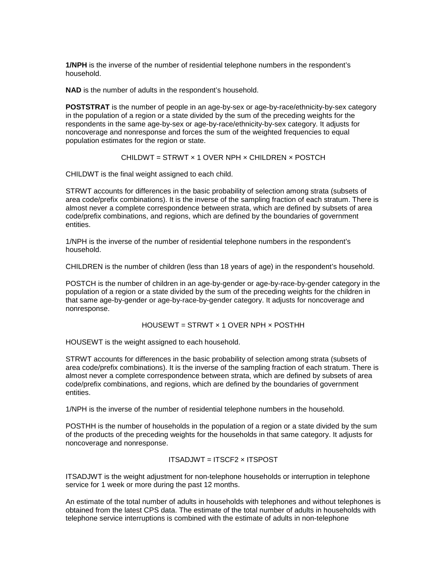**1/NPH** is the inverse of the number of residential telephone numbers in the respondent's household.

**NAD** is the number of adults in the respondent's household.

**POSTSTRAT** is the number of people in an age-by-sex or age-by-race/ethnicity-by-sex category in the population of a region or a state divided by the sum of the preceding weights for the respondents in the same age-by-sex or age-by-race/ethnicity-by-sex category. It adjusts for noncoverage and nonresponse and forces the sum of the weighted frequencies to equal population estimates for the region or state.

#### CHILDWT = STRWT  $\times$  1 OVER NPH  $\times$  CHILDREN  $\times$  POSTCH

CHILDWT is the final weight assigned to each child.

STRWT accounts for differences in the basic probability of selection among strata (subsets of area code/prefix combinations). It is the inverse of the sampling fraction of each stratum. There is almost never a complete correspondence between strata, which are defined by subsets of area code/prefix combinations, and regions, which are defined by the boundaries of government entities.

1/NPH is the inverse of the number of residential telephone numbers in the respondent's household.

CHILDREN is the number of children (less than 18 years of age) in the respondent's household.

POSTCH is the number of children in an age-by-gender or age-by-race-by-gender category in the population of a region or a state divided by the sum of the preceding weights for the children in that same age-by-gender or age-by-race-by-gender category. It adjusts for noncoverage and nonresponse.

## HOUSEWT = STRWT × 1 OVER NPH × POSTHH

HOUSEWT is the weight assigned to each household.

STRWT accounts for differences in the basic probability of selection among strata (subsets of area code/prefix combinations). It is the inverse of the sampling fraction of each stratum. There is almost never a complete correspondence between strata, which are defined by subsets of area code/prefix combinations, and regions, which are defined by the boundaries of government entities.

1/NPH is the inverse of the number of residential telephone numbers in the household.

POSTHH is the number of households in the population of a region or a state divided by the sum of the products of the preceding weights for the households in that same category. It adjusts for noncoverage and nonresponse.

#### ITSADJWT = ITSCF2 × ITSPOST

ITSADJWT is the weight adjustment for non-telephone households or interruption in telephone service for 1 week or more during the past 12 months.

An estimate of the total number of adults in households with telephones and without telephones is obtained from the latest CPS data. The estimate of the total number of adults in households with telephone service interruptions is combined with the estimate of adults in non-telephone